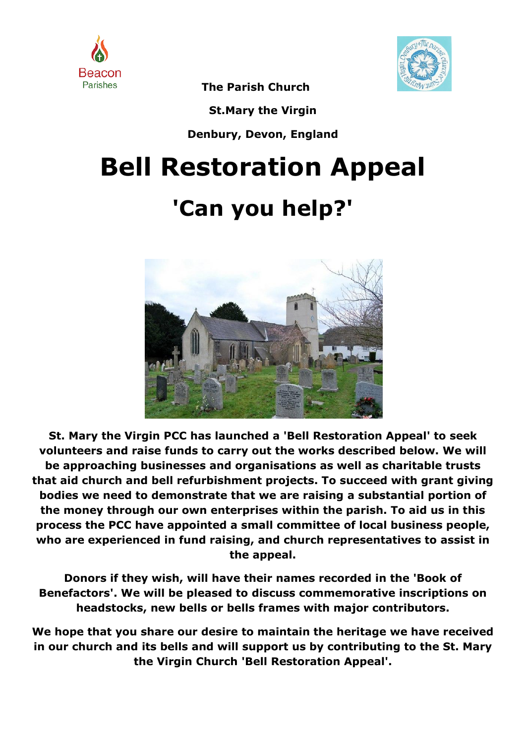



**The Parish Church**

**St.Mary the Virgin**

**Denbury, Devon, England**

# **Bell Restoration Appeal 'Can you help?'**



**St. Mary the Virgin PCC has launched a 'Bell Restoration Appeal' to seek volunteers and raise funds to carry out the works described below. We will be approaching businesses and organisations as well as charitable trusts that aid church and bell refurbishment projects. To succeed with grant giving bodies we need to demonstrate that we are raising a substantial portion of the money through our own enterprises within the parish. To aid us in this process the PCC have appointed a small committee of local business people, who are experienced in fund raising, and church representatives to assist in the appeal.**

**Donors if they wish, will have their names recorded in the 'Book of Benefactors'. We will be pleased to discuss commemorative inscriptions on headstocks, new bells or bells frames with major contributors.**

**We hope that you share our desire to maintain the heritage we have received in our church and its bells and will support us by contributing to the St. Mary the Virgin Church 'Bell Restoration Appeal'.**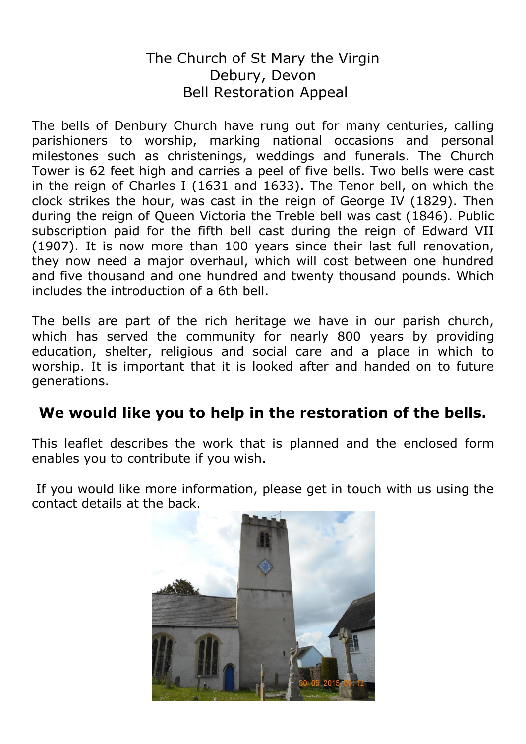#### The Church of St Mary the Virgin Debury, Devon Bell Restoration Appeal

The bells of Denbury Church have rung out for many centuries, calling parishioners to worship, marking national occasions and personal milestones such as christenings, weddings and funerals. The Church Tower is 62 feet high and carries a peel of five bells. Two bells were cast in the reign of Charles I (1631 and 1633). The Tenor bell, on which the clock strikes the hour, was cast in the reign of George IV (1829). Then during the reign of Queen Victoria the Treble bell was cast (1846). Public subscription paid for the fifth bell cast during the reign of Edward VII (1907). It is now more than 100 years since their last full renovation, they now need a major overhaul, which will cost between one hundred and five thousand and one hundred and twenty thousand pounds. Which includes the introduction of a 6th bell.

The bells are part of the rich heritage we have in our parish church, which has served the community for nearly 800 years by providing education, shelter, religious and social care and a place in which to worship. It is important that it is looked after and handed on to future generations.

#### **We would like you to help in the restoration of the bells.**

This leaflet describes the work that is planned and the enclosed form enables you to contribute if you wish.

If you would like more information, please get in touch with us using the contact details at the back.

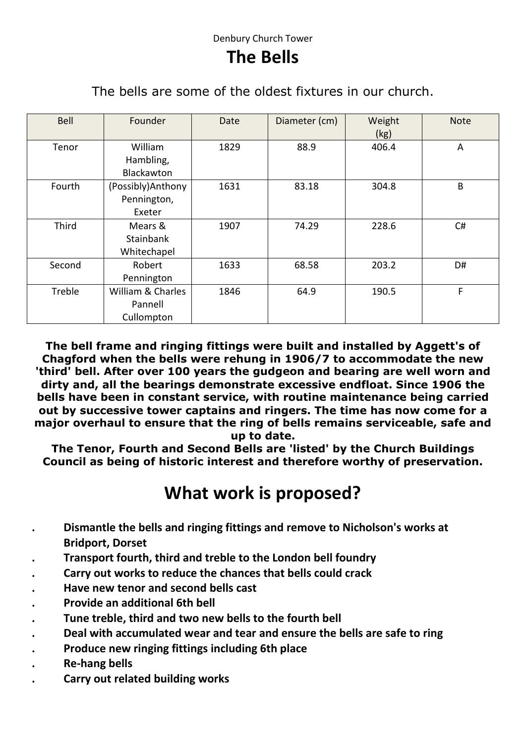#### **The Bells**

The bells are some of the oldest fixtures in our church.

| Bell   | Founder           | Date | Diameter (cm) | Weight<br>(kg) | <b>Note</b> |
|--------|-------------------|------|---------------|----------------|-------------|
| Tenor  | William           | 1829 | 88.9          | 406.4          | A           |
|        | Hambling,         |      |               |                |             |
|        | Blackawton        |      |               |                |             |
| Fourth | (Possibly)Anthony | 1631 | 83.18         | 304.8          | B           |
|        | Pennington,       |      |               |                |             |
|        | Exeter            |      |               |                |             |
| Third  | Mears &           | 1907 | 74.29         | 228.6          | C#          |
|        | Stainbank         |      |               |                |             |
|        | Whitechapel       |      |               |                |             |
| Second | Robert            | 1633 | 68.58         | 203.2          | D#          |
|        | Pennington        |      |               |                |             |
| Treble | William & Charles | 1846 | 64.9          | 190.5          | F           |
|        | Pannell           |      |               |                |             |
|        | Cullompton        |      |               |                |             |

**The bell frame and ringing fittings were built and installed by Aggett's of Chagford when the bells were rehung in 1906/7 to accommodate the new 'third' bell. After over 100 years the gudgeon and bearing are well worn and dirty and, all the bearings demonstrate excessive endfloat. Since 1906 the bells have been in constant service, with routine maintenance being carried out by successive tower captains and ringers. The time has now come for a major overhaul to ensure that the ring of bells remains serviceable, safe and up to date.**

**The Tenor, Fourth and Second Bells are 'listed' by the Church Buildings Council as being of historic interest and therefore worthy of preservation.**

## **What work is proposed?**

- **. Dismantle the bells and ringing fittings and remove to Nicholson's works at Bridport, Dorset**
- **. Transport fourth, third and treble to the London bell foundry**
- **. Carry out works to reduce the chances that bells could crack**
- **. Have new tenor and second bells cast**
- **. Provide an additional 6th bell**
- **. Tune treble, third and two new bells to the fourth bell**
- **. Deal with accumulated wear and tear and ensure the bells are safe to ring**
- **. Produce new ringing fittings including 6th place**
- **. Re-hang bells**
- **. Carry out related building works**